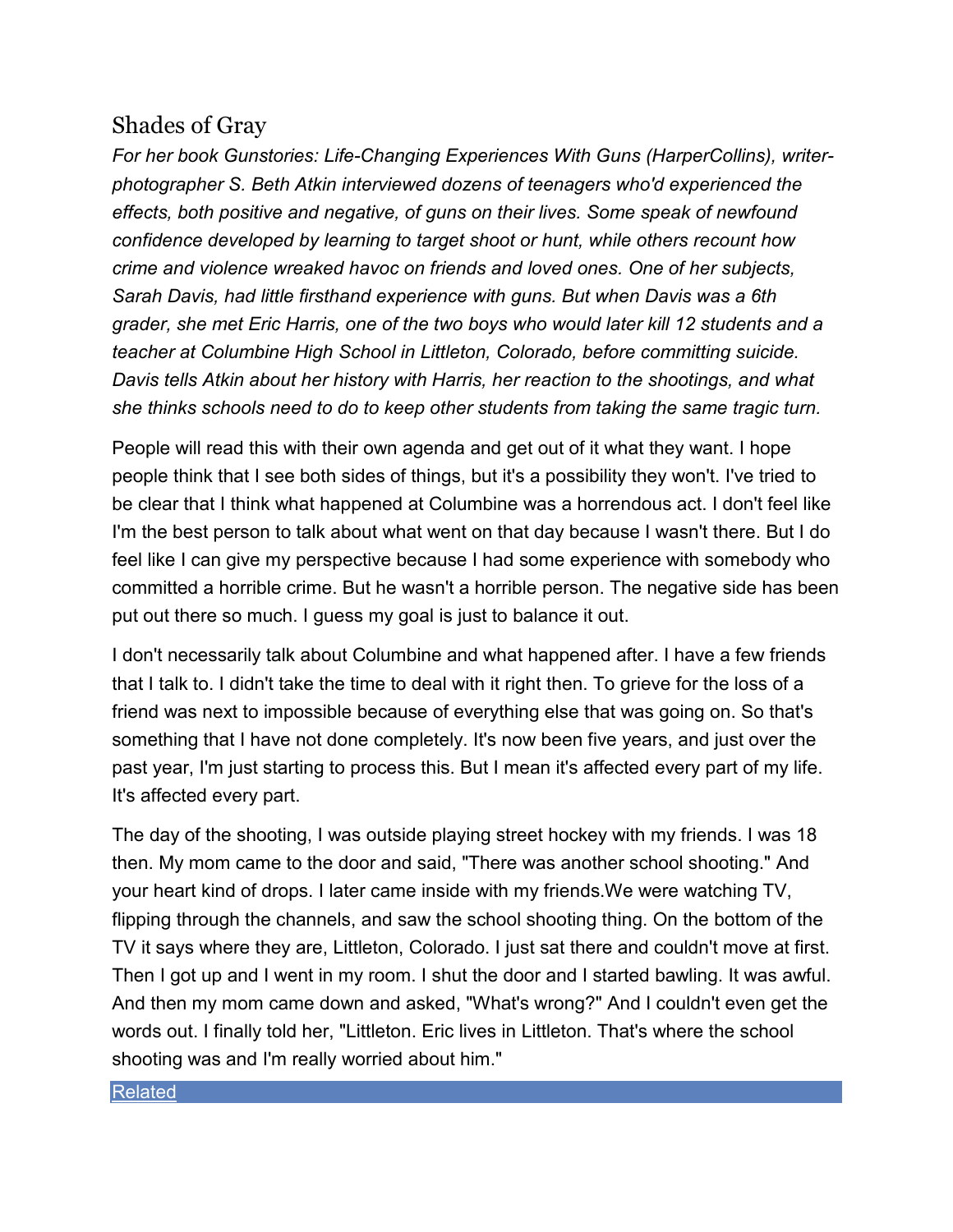## Shades of Gray

*For her book Gunstories: Life-Changing Experiences With Guns (HarperCollins), writerphotographer S. Beth Atkin interviewed dozens of teenagers who'd experienced the effects, both positive and negative, of guns on their lives. Some speak of newfound confidence developed by learning to target shoot or hunt, while others recount how crime and violence wreaked havoc on friends and loved ones. One of her subjects, Sarah Davis, had little firsthand experience with guns. But when Davis was a 6th grader, she met Eric Harris, one of the two boys who would later kill 12 students and a teacher at Columbine High School in Littleton, Colorado, before committing suicide. Davis tells Atkin about her history with Harris, her reaction to the shootings, and what she thinks schools need to do to keep other students from taking the same tragic turn.*

People will read this with their own agenda and get out of it what they want. I hope people think that I see both sides of things, but it's a possibility they won't. I've tried to be clear that I think what happened at Columbine was a horrendous act. I don't feel like I'm the best person to talk about what went on that day because I wasn't there. But I do feel like I can give my perspective because I had some experience with somebody who committed a horrible crime. But he wasn't a horrible person. The negative side has been put out there so much. I guess my goal is just to balance it out.

I don't necessarily talk about Columbine and what happened after. I have a few friends that I talk to. I didn't take the time to deal with it right then. To grieve for the loss of a friend was next to impossible because of everything else that was going on. So that's something that I have not done completely. It's now been five years, and just over the past year, I'm just starting to process this. But I mean it's affected every part of my life. It's affected every part.

The day of the shooting, I was outside playing street hockey with my friends. I was 18 then. My mom came to the door and said, "There was another school shooting." And your heart kind of drops. I later came inside with my friends.We were watching TV, flipping through the channels, and saw the school shooting thing. On the bottom of the TV it says where they are, Littleton, Colorado. I just sat there and couldn't move at first. Then I got up and I went in my room. I shut the door and I started bawling. It was awful. And then my mom came down and asked, "What's wrong?" And I couldn't even get the words out. I finally told her, "Littleton. Eric lives in Littleton. That's where the school shooting was and I'm really worried about him."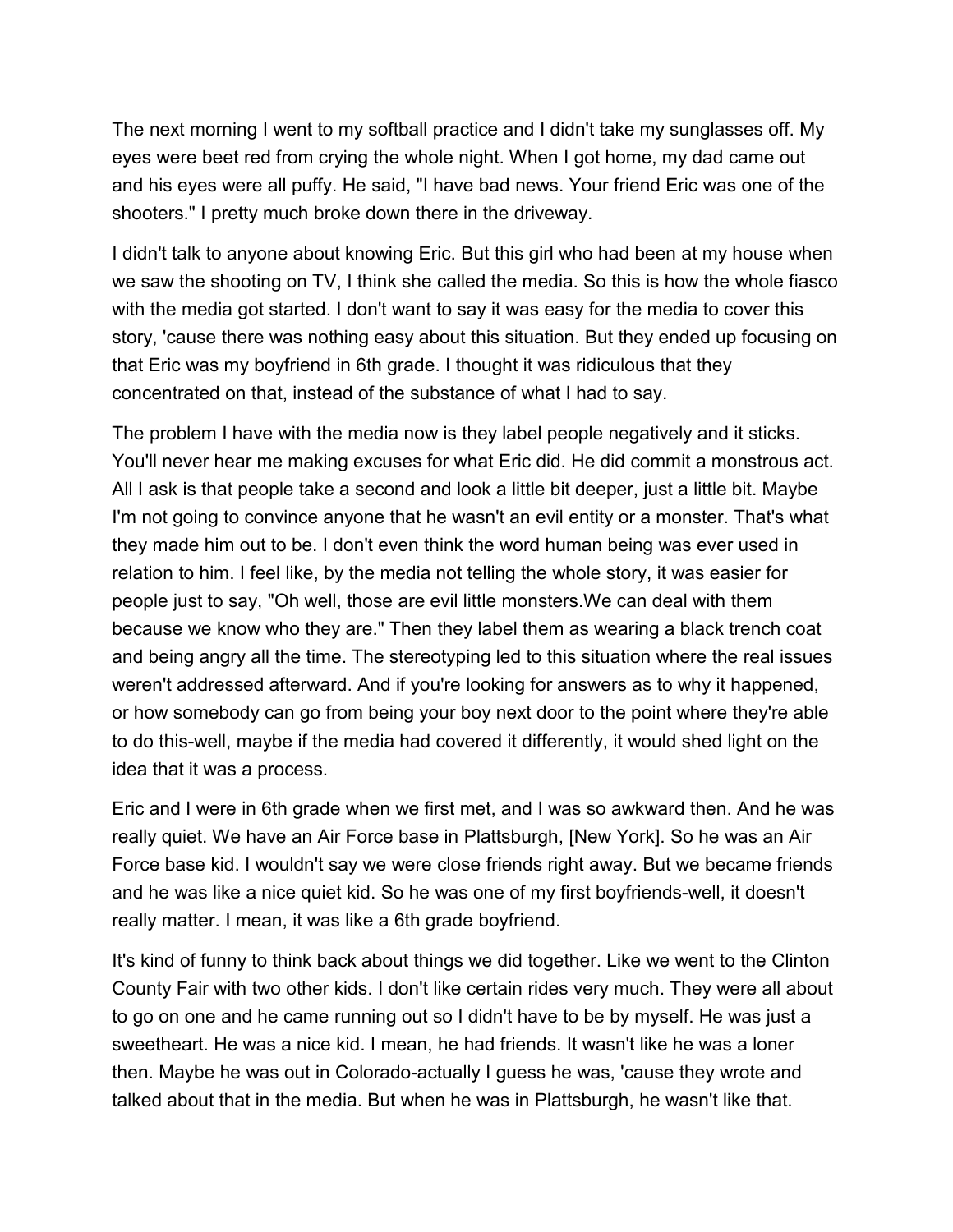The next morning I went to my softball practice and I didn't take my sunglasses off. My eyes were beet red from crying the whole night. When I got home, my dad came out and his eyes were all puffy. He said, "I have bad news. Your friend Eric was one of the shooters." I pretty much broke down there in the driveway.

I didn't talk to anyone about knowing Eric. But this girl who had been at my house when we saw the shooting on TV, I think she called the media. So this is how the whole fiasco with the media got started. I don't want to say it was easy for the media to cover this story, 'cause there was nothing easy about this situation. But they ended up focusing on that Eric was my boyfriend in 6th grade. I thought it was ridiculous that they concentrated on that, instead of the substance of what I had to say.

The problem I have with the media now is they label people negatively and it sticks. You'll never hear me making excuses for what Eric did. He did commit a monstrous act. All I ask is that people take a second and look a little bit deeper, just a little bit. Maybe I'm not going to convince anyone that he wasn't an evil entity or a monster. That's what they made him out to be. I don't even think the word human being was ever used in relation to him. I feel like, by the media not telling the whole story, it was easier for people just to say, "Oh well, those are evil little monsters.We can deal with them because we know who they are." Then they label them as wearing a black trench coat and being angry all the time. The stereotyping led to this situation where the real issues weren't addressed afterward. And if you're looking for answers as to why it happened, or how somebody can go from being your boy next door to the point where they're able to do this-well, maybe if the media had covered it differently, it would shed light on the idea that it was a process.

Eric and I were in 6th grade when we first met, and I was so awkward then. And he was really quiet. We have an Air Force base in Plattsburgh, [New York]. So he was an Air Force base kid. I wouldn't say we were close friends right away. But we became friends and he was like a nice quiet kid. So he was one of my first boyfriends-well, it doesn't really matter. I mean, it was like a 6th grade boyfriend.

It's kind of funny to think back about things we did together. Like we went to the Clinton County Fair with two other kids. I don't like certain rides very much. They were all about to go on one and he came running out so I didn't have to be by myself. He was just a sweetheart. He was a nice kid. I mean, he had friends. It wasn't like he was a loner then. Maybe he was out in Colorado-actually I guess he was, 'cause they wrote and talked about that in the media. But when he was in Plattsburgh, he wasn't like that.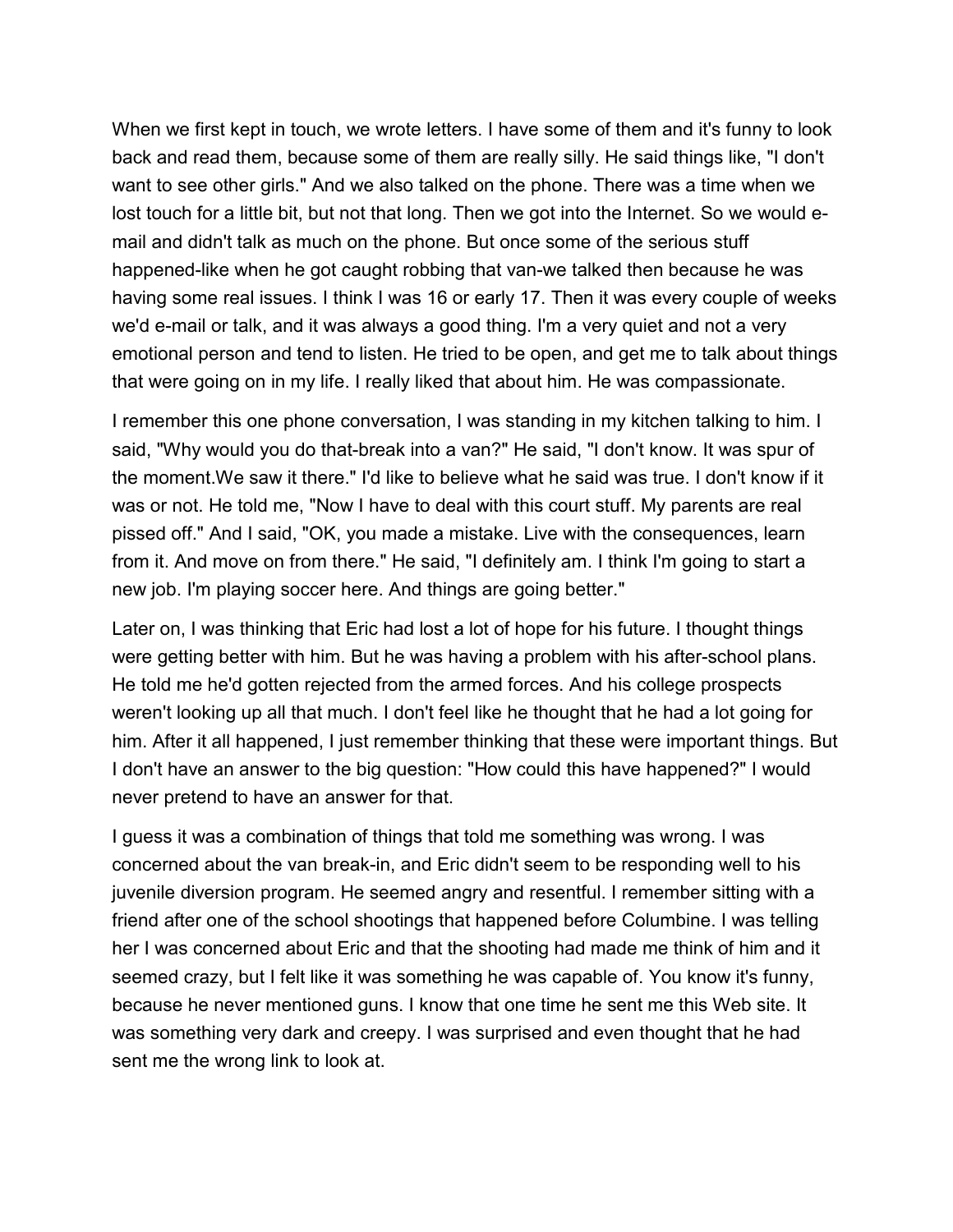When we first kept in touch, we wrote letters. I have some of them and it's funny to look back and read them, because some of them are really silly. He said things like, "I don't want to see other girls." And we also talked on the phone. There was a time when we lost touch for a little bit, but not that long. Then we got into the Internet. So we would email and didn't talk as much on the phone. But once some of the serious stuff happened-like when he got caught robbing that van-we talked then because he was having some real issues. I think I was 16 or early 17. Then it was every couple of weeks we'd e-mail or talk, and it was always a good thing. I'm a very quiet and not a very emotional person and tend to listen. He tried to be open, and get me to talk about things that were going on in my life. I really liked that about him. He was compassionate.

I remember this one phone conversation, I was standing in my kitchen talking to him. I said, "Why would you do that-break into a van?" He said, "I don't know. It was spur of the moment.We saw it there." I'd like to believe what he said was true. I don't know if it was or not. He told me, "Now I have to deal with this court stuff. My parents are real pissed off." And I said, "OK, you made a mistake. Live with the consequences, learn from it. And move on from there." He said, "I definitely am. I think I'm going to start a new job. I'm playing soccer here. And things are going better."

Later on, I was thinking that Eric had lost a lot of hope for his future. I thought things were getting better with him. But he was having a problem with his after-school plans. He told me he'd gotten rejected from the armed forces. And his college prospects weren't looking up all that much. I don't feel like he thought that he had a lot going for him. After it all happened, I just remember thinking that these were important things. But I don't have an answer to the big question: "How could this have happened?" I would never pretend to have an answer for that.

I guess it was a combination of things that told me something was wrong. I was concerned about the van break-in, and Eric didn't seem to be responding well to his juvenile diversion program. He seemed angry and resentful. I remember sitting with a friend after one of the school shootings that happened before Columbine. I was telling her I was concerned about Eric and that the shooting had made me think of him and it seemed crazy, but I felt like it was something he was capable of. You know it's funny, because he never mentioned guns. I know that one time he sent me this Web site. It was something very dark and creepy. I was surprised and even thought that he had sent me the wrong link to look at.